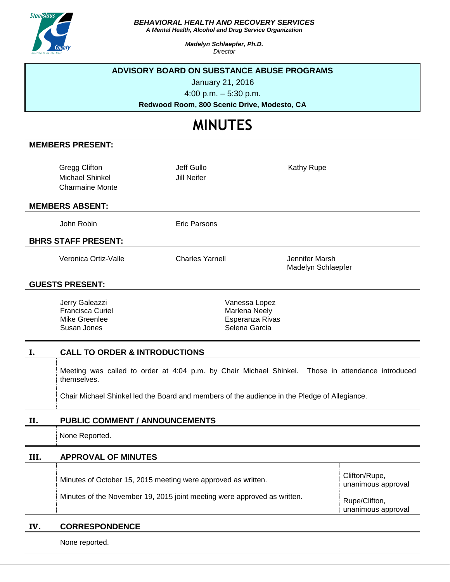

#### *BEHAVIORAL HEALTH AND RECOVERY SERVICES*

*A Mental Health, Alcohol and Drug Service Organization*

*Madelyn Schlaepfer, Ph.D. Director*

# **ADVISORY BOARD ON SUBSTANCE ABUSE PROGRAMS**

January 21, 2016

4:00 p.m. – 5:30 p.m.

**Redwood Room, 800 Scenic Drive, Modesto, CA**

# **MINUTES**

## **MEMBERS PRESENT:**

| <b>Gregg Clifton</b><br>Michael Shinkel<br><b>Charmaine Monte</b> | Jeff Gullo<br>Jill Neifer | Kathy Rupe                           |  |
|-------------------------------------------------------------------|---------------------------|--------------------------------------|--|
| <b>MEMBERS ABSENT:</b>                                            |                           |                                      |  |
| John Robin                                                        | <b>Eric Parsons</b>       |                                      |  |
| <b>BHRS STAFF PRESENT:</b>                                        |                           |                                      |  |
| Veronica Ortiz-Valle                                              | <b>Charles Yarnell</b>    | Jennifer Marsh<br>Madelyn Schlaepfer |  |
| <b>GUESTS PRESENT:</b>                                            |                           |                                      |  |
| $larm \cap oloozz$                                                |                           | $\frac{1}{2}$                        |  |

| Jerry Galeazzi   | Vanessa Lopez   |
|------------------|-----------------|
| Francisca Curiel | Marlena Neely   |
| Mike Greenlee    | Esperanza Rivas |
| Susan Jones      | Selena Garcia   |
|                  |                 |

## **I. CALL TO ORDER & INTRODUCTIONS**

Meeting was called to order at 4:04 p.m. by Chair Michael Shinkel. Those in attendance introduced themselves.

Chair Michael Shinkel led the Board and members of the audience in the Pledge of Allegiance.

## **II. PUBLIC COMMENT / ANNOUNCEMENTS**

None Reported.

# **III. APPROVAL OF MINUTES**

| Minutes of October 15, 2015 meeting were approved as written.            | Clifton/Rupe,<br>unanimous approval |
|--------------------------------------------------------------------------|-------------------------------------|
| Minutes of the November 19, 2015 joint meeting were approved as written. | Rupe/Clifton,<br>unanimous approval |

### **IV. CORRESPONDENCE**

None reported.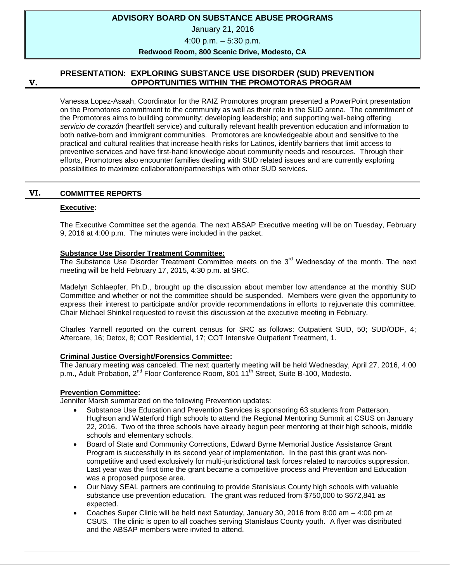## **ADVISORY BOARD ON SUBSTANCE ABUSE PROGRAMS**

January 21, 2016

4:00 p.m. – 5:30 p.m.

#### **Redwood Room, 800 Scenic Drive, Modesto, CA**

#### **V.**

## **PRESENTATION: EXPLORING SUBSTANCE USE DISORDER (SUD) PREVENTION OPPORTUNITIES WITHIN THE PROMOTORAS PROGRAM**

Vanessa Lopez-Asaah, Coordinator for the RAIZ Promotores program presented a PowerPoint presentation on the Promotores commitment to the community as well as their role in the SUD arena. The commitment of the Promotores aims to building community; developing leadership; and supporting well-being offering *servicio de corazón* (heartfelt service) and culturally relevant health prevention education and information to both native-born and immigrant communities. Promotores are knowledgeable about and sensitive to the practical and cultural realities that increase health risks for Latinos, identify barriers that limit access to preventive services and have first-hand knowledge about community needs and resources. Through their efforts, Promotores also encounter families dealing with SUD related issues and are currently exploring possibilities to maximize collaboration/partnerships with other SUD services.

#### **VI. COMMITTEE REPORTS**

#### **Executive:**

The Executive Committee set the agenda. The next ABSAP Executive meeting will be on Tuesday, February 9, 2016 at 4:00 p.m. The minutes were included in the packet.

#### **Substance Use Disorder Treatment Committee:**

The Substance Use Disorder Treatment Committee meets on the 3<sup>rd</sup> Wednesday of the month. The next meeting will be held February 17, 2015, 4:30 p.m. at SRC.

Madelyn Schlaepfer, Ph.D., brought up the discussion about member low attendance at the monthly SUD Committee and whether or not the committee should be suspended. Members were given the opportunity to express their interest to participate and/or provide recommendations in efforts to rejuvenate this committee. Chair Michael Shinkel requested to revisit this discussion at the executive meeting in February.

Charles Yarnell reported on the current census for SRC as follows: Outpatient SUD, 50; SUD/ODF, 4; Aftercare, 16; Detox, 8; COT Residential, 17; COT Intensive Outpatient Treatment, 1.

#### **Criminal Justice Oversight/Forensics Committee:**

The January meeting was canceled. The next quarterly meeting will be held Wednesday, April 27, 2016, 4:00 p.m., Adult Probation, 2<sup>nd</sup> Floor Conference Room, 801 11<sup>th</sup> Street, Suite B-100, Modesto.

## **Prevention Committee:**

Jennifer Marsh summarized on the following Prevention updates:

- Substance Use Education and Prevention Services is sponsoring 63 students from Patterson, Hughson and Waterford High schools to attend the Regional Mentoring Summit at CSUS on January 22, 2016. Two of the three schools have already begun peer mentoring at their high schools, middle schools and elementary schools.
- Board of State and Community Corrections, Edward Byrne Memorial Justice Assistance Grant Program is successfully in its second year of implementation. In the past this grant was noncompetitive and used exclusively for multi-jurisdictional task forces related to narcotics suppression. Last year was the first time the grant became a competitive process and Prevention and Education was a proposed purpose area.
- Our Navy SEAL partners are continuing to provide Stanislaus County high schools with valuable substance use prevention education. The grant was reduced from \$750,000 to \$672,841 as expected.
- Coaches Super Clinic will be held next Saturday, January 30, 2016 from 8:00 am 4:00 pm at CSUS. The clinic is open to all coaches serving Stanislaus County youth. A flyer was distributed and the ABSAP members were invited to attend.